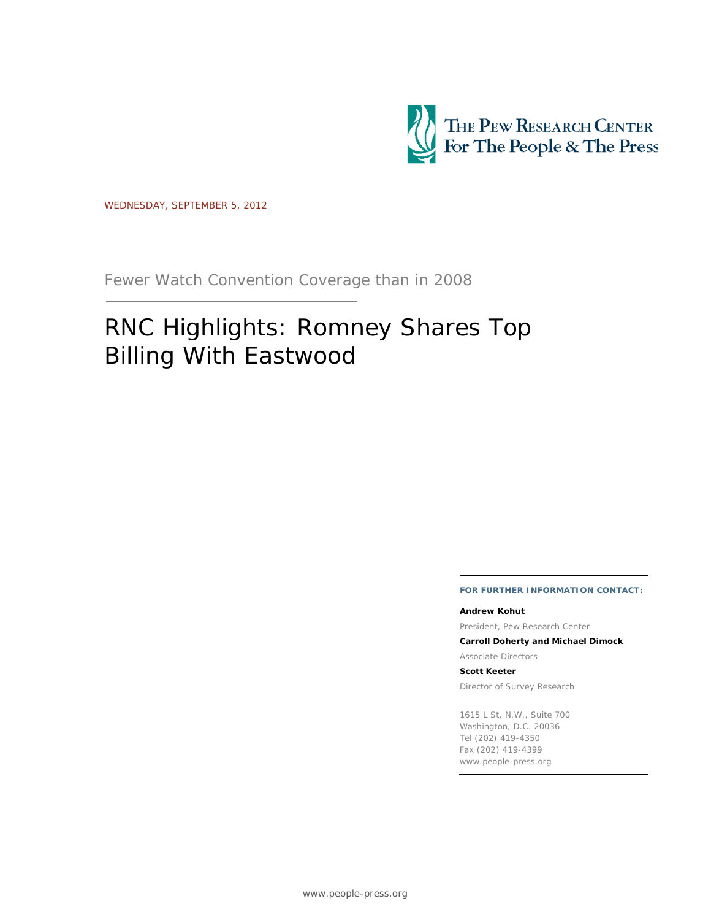

WEDNESDAY, SEPTEMBER 5, 2012

Fewer Watch Convention Coverage than in 2008

# RNC Highlights: Romney Shares Top Billing With Eastwood

**FOR FURTHER INFORMATION CONTACT:**

#### **Andrew Kohut**

President, Pew Research Center

**Carroll Doherty and Michael Dimock**

Associate Directors

**Scott Keeter**

Director of Survey Research

1615 L St, N.W., Suite 700 Washington, D.C. 20036 Tel (202) 419-4350 Fax (202) 419-4399 www.people-press.org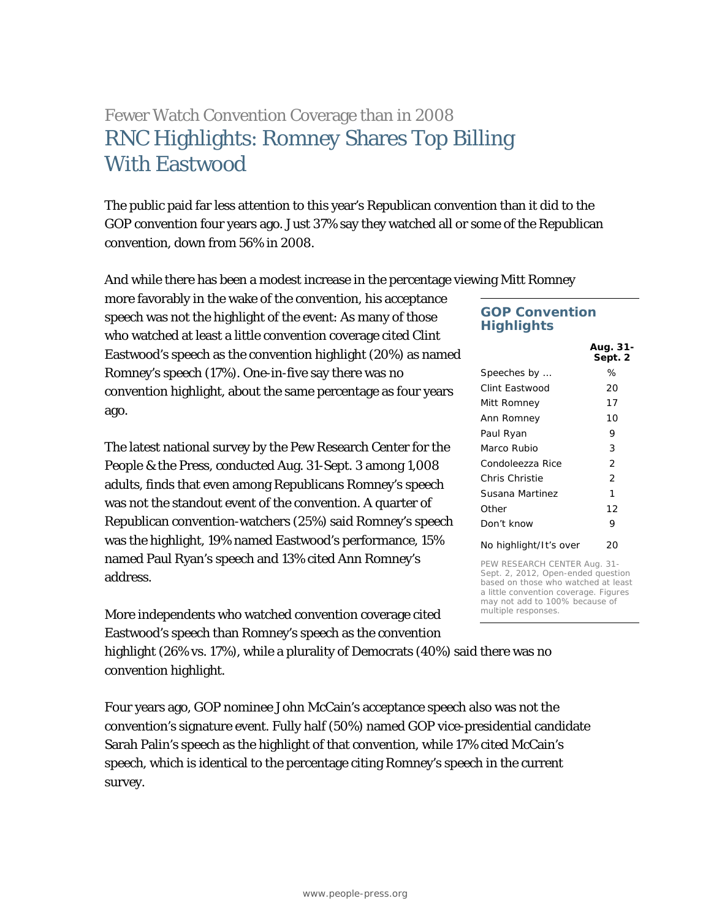## Fewer Watch Convention Coverage than in 2008 RNC Highlights: Romney Shares Top Billing With Eastwood

The public paid far less attention to this year's Republican convention than it did to the GOP convention four years ago. Just 37% say they watched all or some of the Republican convention, down from 56% in 2008.

And while there has been a modest increase in the percentage viewing Mitt Romney

more favorably in the wake of the convention, his acceptance speech was not the highlight of the event: As many of those who watched at least a little convention coverage cited Clint Eastwood's speech as the convention highlight (20%) as named Romney's speech (17%). One-in-five say there was no convention highlight, about the same percentage as four years ago.

The latest national survey by the Pew Research Center for the People & the Press, conducted Aug. 31-Sept. 3 among 1,008 adults, finds that even among Republicans Romney's speech was not the standout event of the convention. A quarter of Republican convention-watchers (25%) said Romney's speech was the highlight, 19% named Eastwood's performance, 15% named Paul Ryan's speech and 13% cited Ann Romney's address.

More independents who watched convention coverage cited Eastwood's speech than Romney's speech as the convention

highlight (26% vs. 17%), while a plurality of Democrats (40%) said there was no convention highlight.

Four years ago, GOP nominee John McCain's acceptance speech also was not the convention's signature event. Fully half (50%) named GOP vice-presidential candidate Sarah Palin's speech as the highlight of that convention, while 17% cited McCain's speech, which is identical to the percentage citing Romney's speech in the current survey.

## **GOP Convention Highlights**

| Aug. 31-<br>Sept. 2 |
|---------------------|
| ℅                   |
| 20                  |
| 17                  |
| 10                  |
| 9                   |
| 3                   |
| $\overline{2}$      |
| $\overline{2}$      |
| 1                   |
| 12                  |
| 9                   |
| 20                  |
|                     |

PEW RESEARCH CENTER Aug. 31- Sept. 2, 2012, Open-ended question based on those who watched at least a little convention coverage. Figures may not add to 100% because of multiple responses.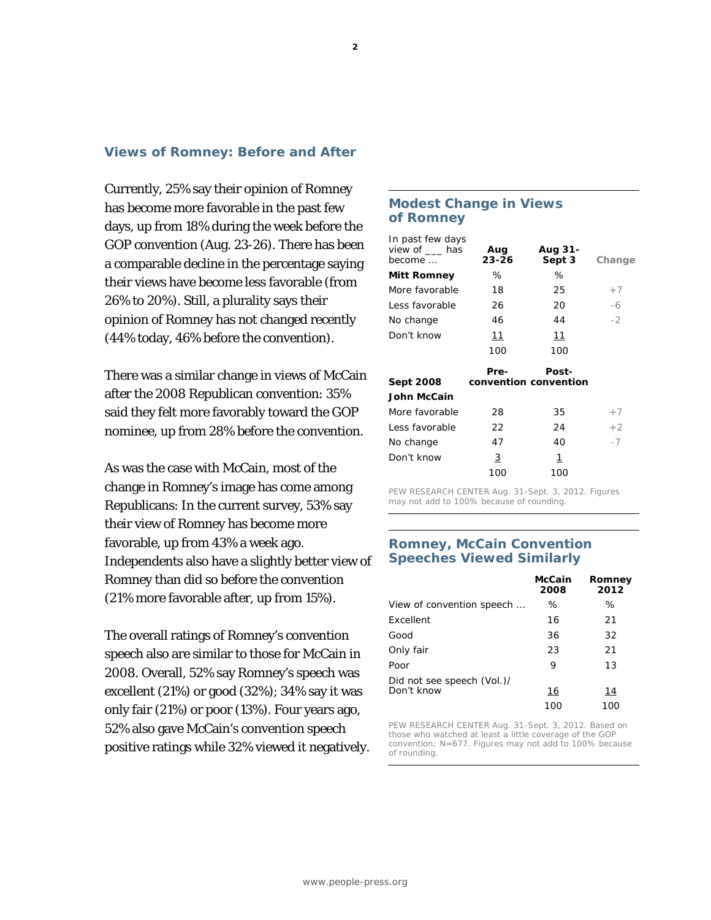#### **2**

## **Views of Romney: Before and After**

Currently, 25% say their opinion of Romney has become more favorable in the past few days, up from 18% during the week before the GOP convention (Aug. 23-26). There has been a comparable decline in the percentage saying their views have become less favorable (from 26% to 20%). Still, a plurality says their opinion of Romney has not changed recently (44% today, 46% before the convention).

There was a similar change in views of McCain after the 2008 Republican convention: 35% said they felt more favorably toward the GOP nominee, up from 28% before the convention.

As was the case with McCain, most of the change in Romney's image has come among Republicans: In the current survey, 53% say their view of Romney has become more favorable, up from 43% a week ago. Independents also have a slightly better view of Romney than did so before the convention (21% more favorable after, up from 15%).

The overall ratings of Romney's convention speech also are similar to those for McCain in 2008. Overall, 52% say Romney's speech was excellent (21%) or good (32%); 34% say it was only fair (21%) or poor (13%). Four years ago, 52% also gave McCain's convention speech positive ratings while 32% viewed it negatively.

## **Modest Change in Views of Romney**

| In past few days<br>view of has<br>Aug<br>$23 - 26$ | Aug 31-<br>Sept 3 | Change                |
|-----------------------------------------------------|-------------------|-----------------------|
| ℅                                                   | %                 |                       |
| 18                                                  | 25                | $+7$                  |
| 26                                                  | 20                | -6                    |
| 46                                                  | 44                | $-2$                  |
| 11                                                  | 11                |                       |
| 100                                                 | 100               |                       |
| Pre-                                                | Post-             |                       |
|                                                     |                   |                       |
|                                                     |                   |                       |
| 28                                                  | 35                | $+7$                  |
| 22                                                  | 24                | $+2$                  |
|                                                     |                   |                       |
| 47                                                  | 40                | $-7$                  |
| 3                                                   | 1                 |                       |
|                                                     |                   | convention convention |

PEW RESEARCH CENTER Aug. 31-Sept. 3, 2012. Figures may not add to 100% because of rounding.

## **Romney, McCain Convention Speeches Viewed Similarly**

|                            | <b>McCain</b><br>2008 | Romney<br>2012 |
|----------------------------|-----------------------|----------------|
| View of convention speech  | ℅                     | ℅              |
| <b>Fxcellent</b>           | 16                    | 21             |
| Good                       | 36                    | 32             |
| Only fair                  | 23                    | 21             |
| Poor                       | 9                     | 13             |
| Did not see speech (Vol.)/ |                       |                |
| Don't know                 | 16                    | 14             |
|                            | 100                   | 100            |

PEW RESEARCH CENTER Aug. 31-Sept. 3, 2012. Based on those who watched at least a little coverage of the GOP convention; N=677. Figures may not add to 100% because of rounding.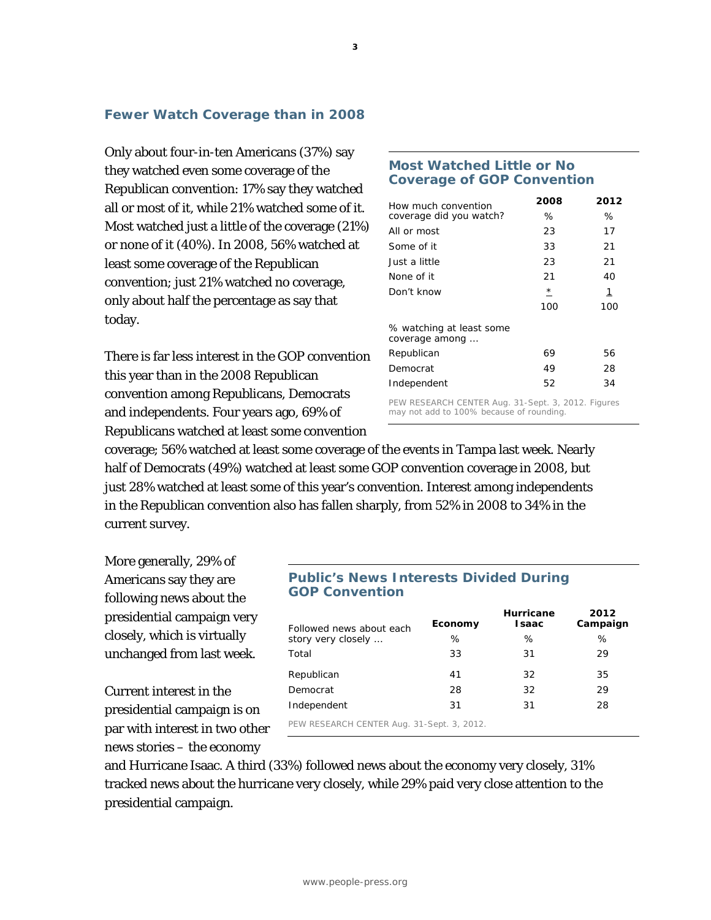## **Fewer Watch Coverage than in 2008**

Only about four-in-ten Americans (37%) say they watched even some coverage of the Republican convention: 17% say they watched all or most of it, while 21% watched some of it. Most watched just a little of the coverage (21%) or none of it (40%). In 2008, 56% watched at least some coverage of the Republican convention; just 21% watched no coverage, only about half the percentage as say that today.

There is far less interest in the GOP convention this year than in the 2008 Republican convention among Republicans, Democrats and independents. Four years ago, 69% of Republicans watched at least some convention

## **Most Watched Little or No Coverage of GOP Convention**

| How much convention                                | 2008    | 2012         |
|----------------------------------------------------|---------|--------------|
| coverage did you watch?                            | ℅       | ℅            |
| All or most                                        | 23      | 17           |
| Some of it                                         | 33      | 21           |
| Just a little                                      | 23      | 21           |
| None of it                                         | 21      | 40           |
| Don't know                                         | $\star$ | $\mathbf{1}$ |
|                                                    | 100     | 100          |
| % watching at least some<br>coverage among         |         |              |
| Republican                                         | 69      | 56           |
| Democrat                                           | 49      | 28           |
| Independent                                        | 52      | 34           |
| PEW RESEARCH CENTER Aug. 31-Sept. 3, 2012. Figures |         |              |

may not add to 100% because of rounding.

coverage; 56% watched at least some coverage of the events in Tampa last week. Nearly half of Democrats (49%) watched at least some GOP convention coverage in 2008, but just 28% watched at least some of this year's convention. Interest among independents in the Republican convention also has fallen sharply, from 52% in 2008 to 34% in the current survey.

More generally, 29% of Americans say they are following news about the presidential campaign very closely, which is virtually unchanged from last week.

Current interest in the presidential campaign is on par with interest in two other news stories – the economy

## **Public's News Interests Divided During GOP Convention**

| Followed news about each                   | Economy | Hurricane<br><b>Isaac</b> | 2012<br>Campaign |
|--------------------------------------------|---------|---------------------------|------------------|
| story very closely                         | %       | ℅                         | %                |
| Total                                      | 33      | 31                        | 29               |
| Republican                                 | 41      | 32                        | 35               |
| Democrat                                   | 28      | 32                        | 29               |
| Independent                                | 31      | 31                        | 28               |
| PEW RESEARCH CENTER Aug. 31-Sept. 3, 2012. |         |                           |                  |

and Hurricane Isaac. A third (33%) followed news about the economy very closely, 31% tracked news about the hurricane very closely, while 29% paid very close attention to the presidential campaign.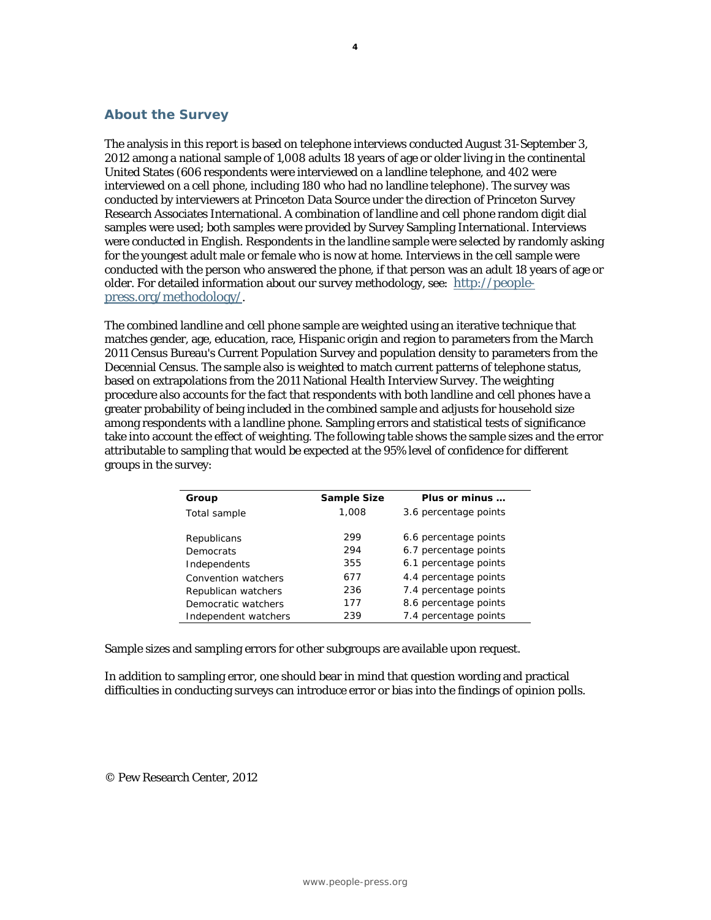## **About the Survey**

The analysis in this report is based on telephone interviews conducted August 31-September 3, 2012 among a national sample of 1,008 adults 18 years of age or older living in the continental United States (606 respondents were interviewed on a landline telephone, and 402 were interviewed on a cell phone, including 180 who had no landline telephone). The survey was conducted by interviewers at Princeton Data Source under the direction of Princeton Survey Research Associates International. A combination of landline and cell phone random digit dial samples were used; both samples were provided by Survey Sampling International. Interviews were conducted in English. Respondents in the landline sample were selected by randomly asking for the youngest adult male or female who is now at home. Interviews in the cell sample were conducted with the person who answered the phone, if that person was an adult 18 years of age or older. For detailed information about our survey methodology, see: [http://people](http://people-press.org/methodology/)[press.org/methodology/.](http://people-press.org/methodology/)

The combined landline and cell phone sample are weighted using an iterative technique that matches gender, age, education, race, Hispanic origin and region to parameters from the March 2011 Census Bureau's Current Population Survey and population density to parameters from the Decennial Census. The sample also is weighted to match current patterns of telephone status, based on extrapolations from the 2011 National Health Interview Survey. The weighting procedure also accounts for the fact that respondents with both landline and cell phones have a greater probability of being included in the combined sample and adjusts for household size among respondents with a landline phone. Sampling errors and statistical tests of significance take into account the effect of weighting. The following table shows the sample sizes and the error attributable to sampling that would be expected at the 95% level of confidence for different groups in the survey:

| Group                | <b>Sample Size</b> | Plus or minus         |
|----------------------|--------------------|-----------------------|
| Total sample         | 1,008              | 3.6 percentage points |
|                      |                    |                       |
| Republicans          | 299                | 6.6 percentage points |
| Democrats            | 294                | 6.7 percentage points |
| Independents         | 355                | 6.1 percentage points |
| Convention watchers  | 677                | 4.4 percentage points |
| Republican watchers  | 236                | 7.4 percentage points |
| Democratic watchers  | 177                | 8.6 percentage points |
| Independent watchers | 239                | 7.4 percentage points |

Sample sizes and sampling errors for other subgroups are available upon request.

In addition to sampling error, one should bear in mind that question wording and practical difficulties in conducting surveys can introduce error or bias into the findings of opinion polls.

© Pew Research Center, 2012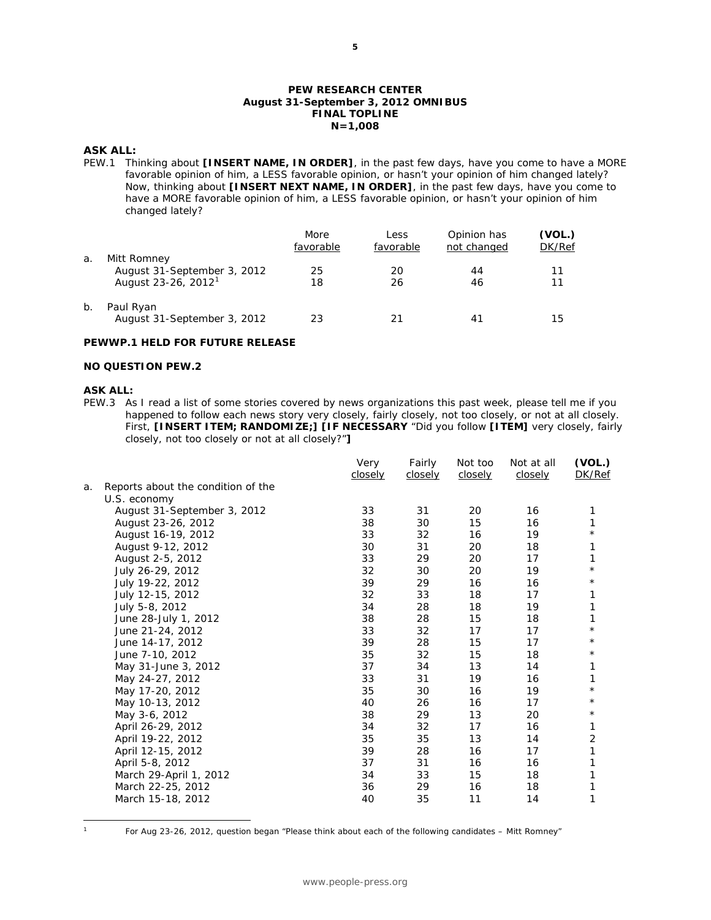#### **PEW RESEARCH CENTER August 31-September 3, 2012 OMNIBUS FINAL TOPLINE N=1,008**

#### **ASK ALL:**

PEW.1 Thinking about **[INSERT NAME, IN ORDER]**, in the past few days, have you come to have a MORE favorable opinion of him, a LESS favorable opinion, or hasn't your opinion of him changed lately? Now, thinking about **[INSERT NEXT NAME, IN ORDER]**, in the past few days, have you come to have a MORE favorable opinion of him, a LESS favorable opinion, or hasn't your opinion of him changed lately?

|       |                                                                               | More<br>favorable | Less<br>favorable | Opinion has<br>not changed | (VOL.)<br>DK/Ref |
|-------|-------------------------------------------------------------------------------|-------------------|-------------------|----------------------------|------------------|
| а.    | Mitt Romney<br>August 31-September 3, 2012<br>August 23-26, 2012 <sup>1</sup> | 25<br>18          | 20<br>26          | 44<br>46                   | 11<br>11         |
| $b$ . | Paul Ryan<br>August 31-September 3, 2012                                      | 23                | 21                | 41                         | 15               |

#### **PEWWP.1 HELD FOR FUTURE RELEASE**

#### **NO QUESTION PEW.2**

#### **ASK ALL:**

PEW.3 As I read a list of some stories covered by news organizations this past week, please tell me if you happened to follow each news story very closely, fairly closely, not too closely, or not at all closely. First, **[INSERT ITEM; RANDOMIZE;] [IF NECESSARY** "Did you follow **[ITEM]** very closely, fairly closely, not too closely or not at all closely?"**]**

|    |                                    | Very<br>closely | Fairly<br>closely | Not too<br>closely | Not at all<br>closely | (VOL.)<br>DK/Ref |
|----|------------------------------------|-----------------|-------------------|--------------------|-----------------------|------------------|
| a. | Reports about the condition of the |                 |                   |                    |                       |                  |
|    | U.S. economy                       |                 |                   |                    |                       |                  |
|    | August 31-September 3, 2012        | 33              | 31                | 20                 | 16                    | 1                |
|    | August 23-26, 2012                 | 38              | 30                | 15                 | 16                    | 1                |
|    | August 16-19, 2012                 | 33              | 32                | 16                 | 19                    | $^\star$         |
|    | August 9-12, 2012                  | 30              | 31                | 20                 | 18                    | 1                |
|    | August 2-5, 2012                   | 33              | 29                | 20                 | 17                    | 1                |
|    | July 26-29, 2012                   | 32              | 30                | 20                 | 19                    | $\star$          |
|    | July 19-22, 2012                   | 39              | 29                | 16                 | 16                    | $^\star$         |
|    | July 12-15, 2012                   | 32              | 33                | 18                 | 17                    | 1                |
|    | July 5-8, 2012                     | 34              | 28                | 18                 | 19                    | 1                |
|    | June 28-July 1, 2012               | 38              | 28                | 15                 | 18                    | 1                |
|    | June 21-24, 2012                   | 33              | 32                | 17                 | 17                    | $\star$          |
|    | June 14-17, 2012                   | 39              | 28                | 15                 | 17                    | $^\star$         |
|    | June 7-10, 2012                    | 35              | 32                | 15                 | 18                    | $^\star$         |
|    | May 31-June 3, 2012                | 37              | 34                | 13                 | 14                    | 1                |
|    | May 24-27, 2012                    | 33              | 31                | 19                 | 16                    | 1                |
|    | May 17-20, 2012                    | 35              | 30                | 16                 | 19                    | $\star$          |
|    | May 10-13, 2012                    | 40              | 26                | 16                 | 17                    | $^\star$         |
|    | May 3-6, 2012                      | 38              | 29                | 13                 | 20                    | $^\star$         |
|    | April 26-29, 2012                  | 34              | 32                | 17                 | 16                    | 1                |
|    | April 19-22, 2012                  | 35              | 35                | 13                 | 14                    | $\overline{2}$   |
|    | April 12-15, 2012                  | 39              | 28                | 16                 | 17                    | 1                |
|    | April 5-8, 2012                    | 37              | 31                | 16                 | 16                    | 1                |
|    | March 29-April 1, 2012             | 34              | 33                | 15                 | 18                    | 1                |
|    | March 22-25, 2012                  | 36              | 29                | 16                 | 18                    | 1                |
|    | March 15-18, 2012                  | 40              | 35                | 11                 | 14                    | 1                |
|    |                                    |                 |                   |                    |                       |                  |

<span id="page-5-0"></span> $\mathbf{1}$ 

<sup>1</sup> For Aug 23-26, 2012, question began "Please think about each of the following candidates – Mitt Romney"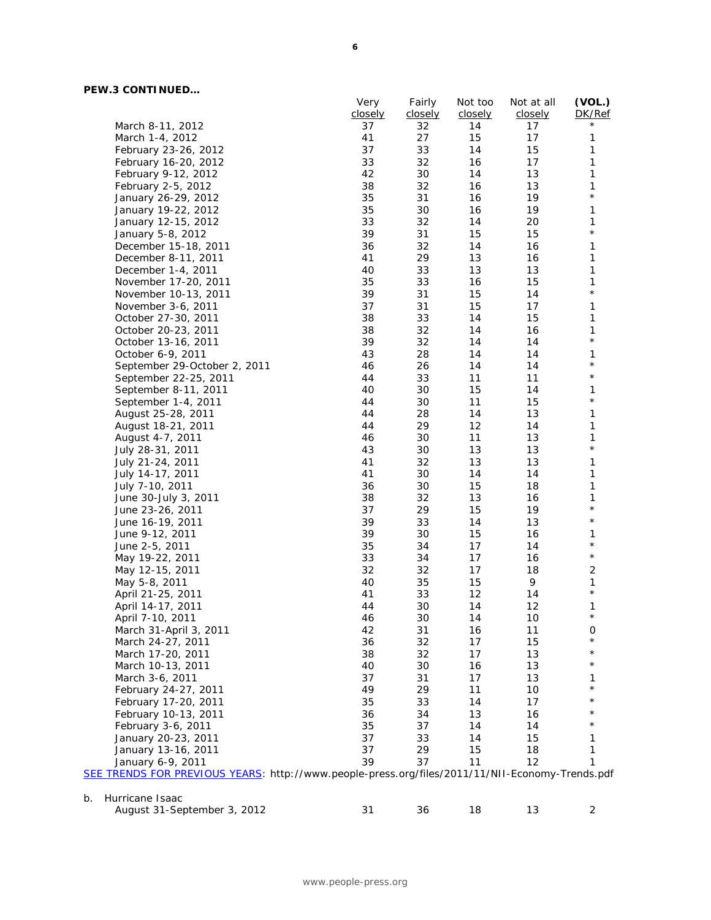## **PEW.3 CONTINUED…**

|                              | Very    | Fairly  | Not too | Not at all | (VOL.)       |
|------------------------------|---------|---------|---------|------------|--------------|
|                              | closely | closely | closely | closely    | DK/Ref       |
| March 8-11, 2012             | 37      | 32      | 14      | 17         | $^\star$     |
| March 1-4, 2012              | 41      | 27      | 15      | 17         | 1            |
| February 23-26, 2012         | 37      | 33      | 14      | 15         | 1            |
| February 16-20, 2012         | 33      | 32      | 16      | 17         | $\mathbf{1}$ |
| February 9-12, 2012          | 42      | 30      | 14      | 13         | 1            |
| February 2-5, 2012           | 38      | 32      | 16      | 13         | 1            |
| January 26-29, 2012          | 35      | 31      | 16      | 19         | $\star$      |
| January 19-22, 2012          | 35      | 30      | 16      | 19         | 1            |
| January 12-15, 2012          | 33      | 32      | 14      | 20         | 1            |
| January 5-8, 2012            | 39      | 31      | 15      | 15         | $\star$      |
| December 15-18, 2011         | 36      | 32      | 14      | 16         | $\mathbf{1}$ |
| December 8-11, 2011          | 41      | 29      | 13      | 16         | 1            |
| December 1-4, 2011           | 40      | 33      | 13      | 13         | $\mathbf{1}$ |
| November 17-20, 2011         | 35      | 33      | 16      | 15         | 1            |
| November 10-13, 2011         | 39      | 31      | 15      | 14         | $\star$      |
| November 3-6, 2011           | 37      | 31      | 15      | 17         | $\mathbf{1}$ |
| October 27-30, 2011          | 38      | 33      | 14      | 15         | $\mathbf{1}$ |
| October 20-23, 2011          | 38      | 32      | 14      | 16         | $\mathbf{1}$ |
| October 13-16, 2011          | 39      | 32      | 14      | 14         | $\star$      |
| October 6-9, 2011            | 43      | 28      | 14      | 14         | 1            |
| September 29-October 2, 2011 | 46      | 26      | 14      | 14         | $\star$      |
| September 22-25, 2011        | 44      | 33      | 11      | 11         | $\star$      |
| September 8-11, 2011         | 40      | 30      | 15      | 14         | 1            |
| September 1-4, 2011          | 44      | 30      | 11      | 15         | $\star$      |
| August 25-28, 2011           | 44      | 28      | 14      | 13         | 1            |
| August 18-21, 2011           | 44      | 29      | 12      | 14         | 1            |
| August 4-7, 2011             | 46      | 30      | 11      | 13         | 1            |
| July 28-31, 2011             | 43      | 30      | 13      | 13         | $\star$      |
| July 21-24, 2011             | 41      | 32      | 13      | 13         | $\mathbf{1}$ |
| July 14-17, 2011             | 41      | 30      | 14      | 14         | 1            |
| July 7-10, 2011              | 36      | 30      | 15      | 18         | $\mathbf{1}$ |
| June 30-July 3, 2011         | 38      | 32      | 13      | 16         | 1            |
| June 23-26, 2011             | 37      | 29      | 15      | 19         | $\star$      |
| June 16-19, 2011             | 39      | 33      | 14      | 13         | $\star$      |
| June 9-12, 2011              | 39      | 30      | 15      | 16         | 1            |
| June 2-5, 2011               | 35      | 34      | 17      | 14         | $\star$      |
| May 19-22, 2011              | 33      | 34      | 17      | 16         | $\star$      |
| May 12-15, 2011              | 32      | 32      | 17      | 18         | $\sqrt{2}$   |
| May 5-8, 2011                | 40      | 35      | 15      | 9          | 1            |
| April 21-25, 2011            | 41      | 33      | 12      | 14         | $\star$      |
| April 14-17, 2011            | 44      | 30      | 14      | 12         | 1            |
| April 7-10, 2011             | 46      | 30      | 14      | $10$       | $^{\star}$   |
|                              | 42      | 31      | 16      | 11         | 0            |
| March 31-April 3, 2011       |         |         | 17      | 15         | $^\star$     |
| March 24-27, 2011            | 36      | 32      |         |            | $^\star$     |
| March 17-20, 2011            | 38      | 32      | 17      | 13         | $^\star$     |
| March 10-13, 2011            | 40      | 30      | 16      | 13         |              |
| March 3-6, 2011              | 37      | 31      | 17      | 13         | 1            |
| February 24-27, 2011         | 49      | 29      | 11      | 10         |              |
| February 17-20, 2011         | 35      | 33      | 14      | 17         |              |
| February 10-13, 2011         | 36      | 34      | 13      | 16         |              |
| February 3-6, 2011           | 35      | 37      | 14      | 14         |              |
| January 20-23, 2011          | 37      | 33      | 14      | 15         | 1            |
| January 13-16, 2011          | 37      | 29      | 15      | 18         | 1            |
| January 6-9, 2011            | 39      | 37      | 11      | 12         | 1            |

| -- | .                           |  |  |  |
|----|-----------------------------|--|--|--|
|    | August 31-September 3, 2012 |  |  |  |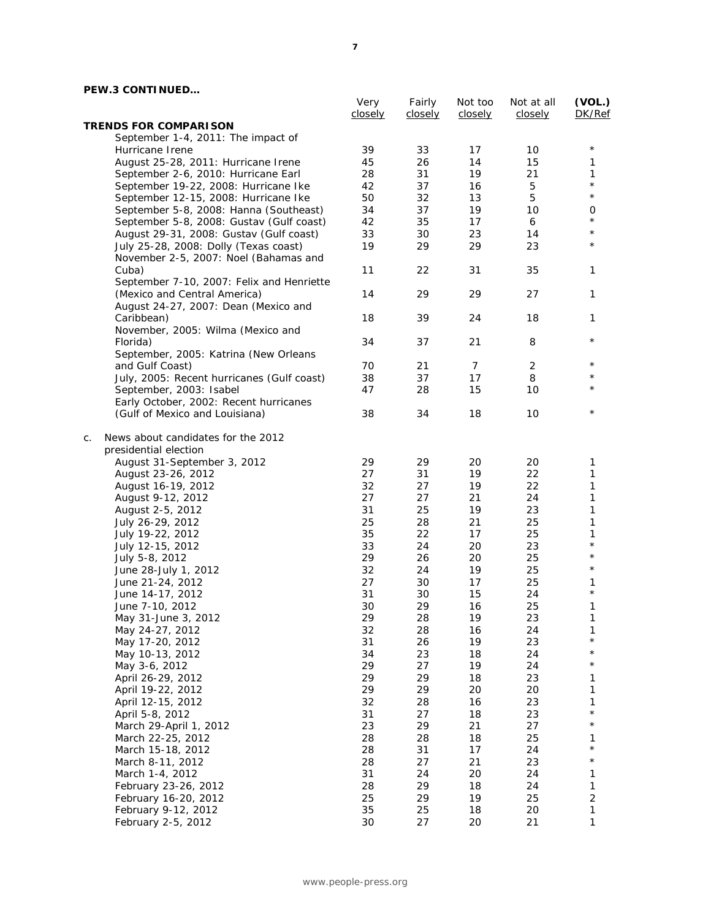## **PEW.3 CONTINUED…**

|                                            | Very<br>closely | Fairly<br>closely | Not too<br>closely | Not at all<br>closely | (VOL.)<br>DK/Ref |
|--------------------------------------------|-----------------|-------------------|--------------------|-----------------------|------------------|
| <b>TRENDS FOR COMPARISON</b>               |                 |                   |                    |                       |                  |
| September 1-4, 2011: The impact of         |                 |                   |                    |                       |                  |
| Hurricane Irene                            | 39              | 33                | 17                 | 10                    | $^\star$         |
| August 25-28, 2011: Hurricane Irene        | 45              | 26                | 14                 | 15                    | 1                |
| September 2-6, 2010: Hurricane Earl        | 28              | 31                | 19                 | 21                    | 1                |
| September 19-22, 2008: Hurricane Ike       | 42              | 37                | 16                 | 5                     | $^{\star}$       |
| September 12-15, 2008: Hurricane Ike       | 50              | 32                | 13                 | 5                     | $^{\star}$       |
| September 5-8, 2008: Hanna (Southeast)     | 34              | 37                | 19                 | 10                    | 0                |
| September 5-8, 2008: Gustav (Gulf coast)   | 42              | 35                | 17                 | 6                     | $^\star$         |
| August 29-31, 2008: Gustav (Gulf coast)    | 33              | 30                | 23                 | 14                    | $^\star$         |
| July 25-28, 2008: Dolly (Texas coast)      | 19              | 29                | 29                 | 23                    | $^\star$         |
| November 2-5, 2007: Noel (Bahamas and      |                 |                   |                    |                       |                  |
| Cuba)                                      | 11              | 22                | 31                 | 35                    | 1                |
| September 7-10, 2007: Felix and Henriette  |                 |                   |                    |                       |                  |
| (Mexico and Central America)               | 14              | 29                | 29                 | 27                    | 1                |
| August 24-27, 2007: Dean (Mexico and       |                 |                   |                    |                       |                  |
| Caribbean)                                 | 18              | 39                | 24                 | 18                    | 1                |
| November, 2005: Wilma (Mexico and          |                 |                   |                    |                       |                  |
| Florida)                                   | 34              | 37                | 21                 | 8                     | $^\star$         |
| September, 2005: Katrina (New Orleans      |                 |                   |                    |                       |                  |
| and Gulf Coast)                            | 70              | 21                | 7                  | 2                     | $^\star$         |
| July, 2005: Recent hurricanes (Gulf coast) | 38              | 37                | 17                 | 8                     | $^\star$         |
| September, 2003: Isabel                    | 47              | 28                | 15                 | 10                    | $^\star$         |
| Early October, 2002: Recent hurricanes     |                 |                   |                    |                       |                  |
| (Gulf of Mexico and Louisiana)             | 38              | 34                | 18                 | 10                    | $^\star$         |
|                                            |                 |                   |                    |                       |                  |
| News about candidates for the 2012<br>C.   |                 |                   |                    |                       |                  |
| presidential election                      |                 |                   |                    |                       |                  |
| August 31-September 3, 2012                | 29              | 29                | 20                 | 20                    | 1                |
| August 23-26, 2012                         | 27              | 31                | 19                 | 22                    | 1                |
| August 16-19, 2012                         | 32              | 27                | 19                 | 22                    | 1                |
| August 9-12, 2012                          | 27              | 27                | 21                 | 24                    | 1                |
| August 2-5, 2012                           | 31              | 25                | 19                 | 23                    | 1                |
| July 26-29, 2012                           | 25              | 28                | 21                 | 25                    | 1                |
| July 19-22, 2012                           | 35              | 22                | 17                 | 25                    | 1                |
| July 12-15, 2012                           | 33              | 24                | 20                 | 23                    | $^\star$         |
| July 5-8, 2012                             | 29              | 26                | 20                 | 25                    | $^\star$         |
| June 28-July 1, 2012                       | 32              | 24                | 19                 | 25                    | $^\star$         |
| June 21-24, 2012                           | 27              | 30                | 17                 | 25                    | 1                |
| June 14-17, 2012                           | 31              | 30                | 15                 | 24                    | $^{\star}$       |
| June 7-10, 2012                            | 30              | 29                | 16                 | 25                    | 1                |
| May 31-June 3, 2012                        | 29              | 28                | 19                 | 23                    | 1                |
| May 24-27, 2012                            | 32              | 28                | 16                 | 24                    | 1                |
| May 17-20, 2012                            | 31              | 26                | 19                 | 23                    | $^{\star}$       |
| May 10-13, 2012                            | 34              | 23                | 18                 | 24                    | $^{\star}$       |
| May 3-6, 2012                              | 29              | 27                | 19                 | 24                    | $^{\star}$       |
| April 26-29, 2012                          | 29              | 29                | 18                 | 23                    | 1                |
| April 19-22, 2012                          | 29              | 29                | 20                 | 20                    | 1                |
| April 12-15, 2012                          | 32              | 28                | 16                 | 23                    | 1                |
| April 5-8, 2012                            | 31              | 27                | 18                 | 23                    | $^{\star}$       |
| March 29-April 1, 2012                     | 23              | 29                | 21                 | 27                    | $^{\star}$       |
| March 22-25, 2012                          | 28              | 28                | 18                 | 25                    | 1                |
| March 15-18, 2012                          | 28              | 31                | 17                 | 24                    | $^{\star}$       |
| March 8-11, 2012                           | 28              | 27                | 21                 | 23                    | $^{\star}$       |
| March 1-4, 2012                            | 31              | 24                | 20                 | 24                    | 1                |
| February 23-26, 2012                       | 28              | 29                | 18                 | 24                    | 1                |
| February 16-20, 2012                       | 25              | 29                | 19                 | 25                    | $\overline{c}$   |
| February 9-12, 2012                        | 35              | 25                | 18                 | 20                    | $\mathbf{1}$     |
| February 2-5, 2012                         | 30              | 27                | 20                 | 21                    | $\mathbf{1}$     |
|                                            |                 |                   |                    |                       |                  |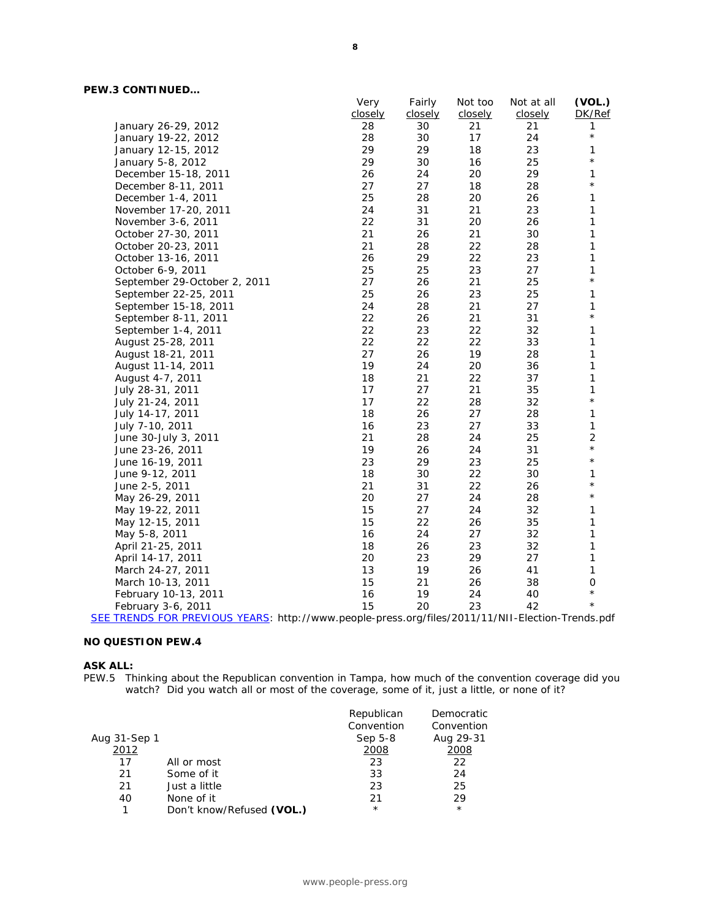|                                            | Very    | Fairly  | Not too | Not at all | (VOL.)              |
|--------------------------------------------|---------|---------|---------|------------|---------------------|
|                                            | closely | closely | closely | closely    | DK/Ref              |
| January 26-29, 2012                        | 28      | 30      | 21      | 21         | 1                   |
| January 19-22, 2012                        | 28      | 30      | 17      | 24         | $\star$             |
| January 12-15, 2012                        | 29      | 29      | 18      | 23         | 1                   |
| January 5-8, 2012                          | 29      | 30      | 16      | 25         | $^\star$            |
| December 15-18, 2011                       | 26      | 24      | 20      | 29         | 1                   |
| December 8-11, 2011                        | 27      | 27      | 18      | 28         | $^{\star}$          |
| December 1-4, 2011                         | 25      | 28      | 20      | 26         | 1                   |
| November 17-20, 2011                       | 24      | 31      | 21      | 23         | 1                   |
| November 3-6, 2011                         | 22      | 31      | 20      | 26         | 1                   |
| October 27-30, 2011                        | 21      | 26      | 21      | 30         | 1                   |
| October 20-23, 2011                        | 21      | 28      | 22      | 28         | 1                   |
| October 13-16, 2011                        | 26      | 29      | 22      | 23         | 1                   |
| October 6-9, 2011                          | 25      | 25      | 23      | 27         | 1                   |
| September 29-October 2, 2011               | 27      | 26      | 21      | 25         | $^{\star}$          |
| September 22-25, 2011                      | 25      | 26      | 23      | 25         | 1                   |
| September 15-18, 2011                      | 24      | 28      | 21      | 27         | 1                   |
| September 8-11, 2011                       | 22      | 26      | 21      | 31         | $^{\star}$          |
| September 1-4, 2011                        | 22      | 23      | 22      | 32         | 1                   |
| August 25-28, 2011                         | 22      | 22      | 22      | 33         | 1                   |
| August 18-21, 2011                         | 27      | 26      | 19      | 28         | 1                   |
| August 11-14, 2011                         | 19      | 24      | 20      | 36         | 1                   |
| August 4-7, 2011                           | 18      | 21      | 22      | 37         | 1                   |
| July 28-31, 2011                           | 17      | 27      | 21      | 35         | 1                   |
| July 21-24, 2011                           | 17      | 22      | 28      | 32         | $^{\star}$          |
| July 14-17, 2011                           | 18      | 26      | 27      | 28         | 1                   |
| July 7-10, 2011                            | 16      | 23      | 27      | 33         | 1                   |
| June 30-July 3, 2011                       | 21      | 28      | 24      | 25         | $\overline{2}$      |
| June 23-26, 2011                           | 19      | 26      | 24      | 31         | $^{\star}$          |
| June 16-19, 2011                           | 23      | 29      | 23      | 25         | $^{\star}$          |
| June 9-12, 2011                            | 18      | 30      | 22      | 30         | 1                   |
| June 2-5, 2011                             | 21      | 31      | 22      | 26         | $^\star$            |
| May 26-29, 2011                            | 20      | 27      | 24      | 28         | $^{\star}$          |
| May 19-22, 2011                            | 15      | 27      | 24      | 32         | 1                   |
| May 12-15, 2011                            | 15      | 22      | 26      | 35         | 1                   |
| May 5-8, 2011                              | 16      | 24      | 27      | 32         | 1                   |
| April 21-25, 2011                          | 18      | 26      | 23      | 32         | 1                   |
| April 14-17, 2011                          | 20      | 23      | 29      | 27         | 1                   |
| March 24-27, 2011                          | 13      | 19      | 26      | 41         | 1                   |
| March 10-13, 2011                          | 15      | 21      | 26      | 38         | $\mathsf{O}\xspace$ |
| February 10-13, 2011                       | 16      | 19      | 24      | 40         | $^{\star}$          |
| February 3-6, 2011                         | 15      | 20      | 23      | 42         | $^{\star}$          |
| $\bigcap$ IC $\bigcup$ $\bigcap$ $\bigcap$ |         | 1C:1    |         |            |                     |

[SEE TRENDS FOR PREVIOUS YEARS:](http://www.people-press.org/files/2011/11/NII-Election-Trends.pdf) http://www.people-press.org/files/2011/11/NII-Election-Trends.pdf

#### **NO QUESTION PEW.4**

#### **ASK ALL:**

PEW.5 Thinking about the Republican convention in Tampa, how much of the convention coverage did you watch? Did you watch all or most of the coverage, some of it, just a little, or none of it?

|              |                           | Republican | Democratic |
|--------------|---------------------------|------------|------------|
|              |                           | Convention | Convention |
| Aug 31-Sep 1 |                           | Sep 5-8    | Aug 29-31  |
| 2012         |                           | 2008       | 2008       |
| 17           | All or most               | 23         | 22         |
| 21           | Some of it                | 33         | 24         |
| 21           | Just a little             | 23         | 25         |
| 40           | None of it                | 21         | 29         |
| 1            | Don't know/Refused (VOL.) | $^\star$   | $\star$    |
|              |                           |            |            |